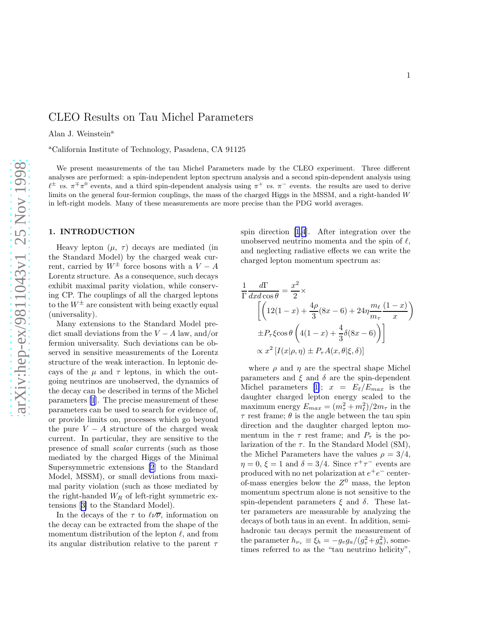# CLEO Results on Tau Michel Parameters

Alan J. Weinstein<sup>a</sup>

<sup>a</sup>California Institute of Technology, Pasadena, CA 91125

We present measurements of the tau Michel Parameters made by the CLEO experiment. Three different analyses are performed: a spin-independent lepton spectrum analysis and a second spin-dependent analysis using  $\ell^{\pm}$  vs.  $\pi^{\mp} \pi^0$  events, and a third spin-dependent analysis using  $\pi^+$  vs.  $\pi^-$  events. the results are used to derive limits on the general four-fermion couplings, the mass of the charged Higgs in the MSSM, and a right-handed W in left-right models. Many of these measurements are more precise than the PDG world averages.

#### 1. INTRODUCTION

Heavy lepton  $(\mu, \tau)$  decays are mediated (in the Standard Model) by the charged weak current, carried by  $W^{\pm}$  force bosons with a  $V - A$ Lorentz structure. As a consequence, such decays exhibit maximal parity violation, while conserving CP. The couplings of all the charged leptons to the  $W^{\pm}$  are consistent with being exactly equal (universality).

Many extensions to the Standard Model predict small deviations from the  $V - A$  law, and/or fermion universality. Such deviations can be observed in sensitive measurements of the Lorentz structure of the weak interaction. In leptonic decays of the  $\mu$  and  $\tau$  leptons, in which the outgoing neutrinos are unobserved, the dynamics of the decay can be described in terms of the Michel parameters [\[1](#page-6-0)]. The precise measurement of these parameters can be used to search for evidence of, or provide limits on, processes which go beyond the pure  $V - A$  structure of the charged weak current. In particular, they are sensitive to the presence of small scalar currents (such as those mediated by the charged Higgs of the Minimal Supersymmetric extensions [\[2](#page-6-0)] to the Standard Model, MSSM), or small deviations from maximal parity violation (such as those mediated by the right-handed  ${\cal W}_{\cal R}$  of left-right symmetric extensions[[3\]](#page-6-0) to the Standard Model).

In the decays of the  $\tau$  to  $\ell\nu\overline{\nu}$ , information on the decay can be extracted from the shape of the momentum distribution of the lepton  $\ell$ , and from its angular distribution relative to the parent  $\tau$  spin direction [\[1,4](#page-6-0)]. After integration over the unobserved neutrino momenta and the spin of  $\ell$ , and neglecting radiative effects we can write the charged lepton momentum spectrum as:

$$
\frac{1}{\Gamma} \frac{d\Gamma}{dx d\cos\theta} = \frac{x^2}{2} \times
$$
\n
$$
\left[ \left( 12(1-x) + \frac{4\rho}{3}(8x-6) + 24\eta \frac{m_\ell}{m_\tau} \frac{(1-x)}{x} \right) \right]
$$
\n
$$
\pm P_\tau \xi \cos\theta \left( 4(1-x) + \frac{4}{3}\delta(8x-6) \right) \right]
$$
\n
$$
\propto x^2 \left[ I(x|\rho, \eta) \pm P_\tau A(x, \theta|\xi, \delta) \right]
$$

where  $\rho$  and  $\eta$  are the spectral shape Michel parameters and  $\xi$  and  $\delta$  are the spin-dependent Michelparameters [[1](#page-6-0)];  $x = E_{\ell}/E_{max}$  is the daughter charged lepton energy scaled to the maximum energy  $E_{max} = (m_{\tau}^2 + m_{\ell}^2)/2m_{\tau}$  in the  $\tau$  rest frame;  $\theta$  is the angle between the tau spin direction and the daughter charged lepton momentum in the  $\tau$  rest frame; and  $P_{\tau}$  is the polarization of the  $\tau$ . In the Standard Model (SM), the Michel Parameters have the values  $\rho = 3/4$ ,  $\eta = 0, \xi = 1$  and  $\delta = 3/4$ . Since  $\tau^+ \tau^-$  events are produced with no net polarization at  $e^+e^-$  centerof-mass energies below the  $Z^0$  mass, the lepton momentum spectrum alone is not sensitive to the spin-dependent parameters  $\xi$  and  $\delta$ . These latter parameters are measurable by analyzing the decays of both taus in an event. In addition, semihadronic tau decays permit the measurement of the parameter  $h_{\nu_{\tau}} \equiv \xi_h = -g_v g_a/(g_v^2 + g_a^2)$ , sometimes referred to as the "tau neutrino helicity",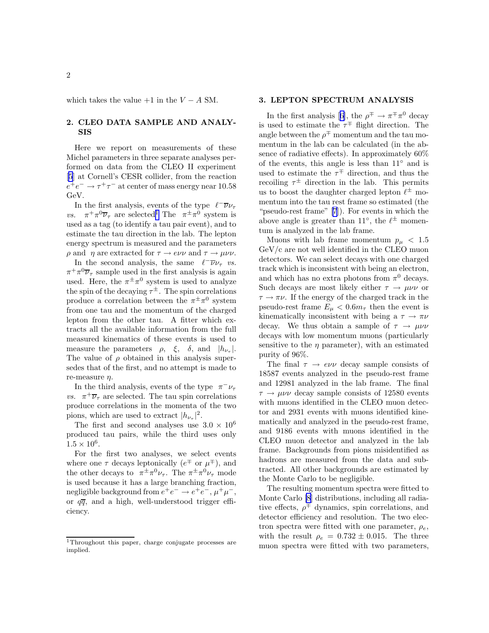which takes the value  $+1$  in the  $V - A$  SM.

### 2. CLEO DATA SAMPLE AND ANALY-SIS

Here we report on measurements of these Michel parameters in three separate analyses performed on data from the CLEO II experiment [\[5](#page-6-0)] at Cornell's CESR collider, from the reaction  $e^+e^-\rightarrow \tau^+\tau^-$  at center of mass energy near 10.58 GeV.

In the first analysis, events of the type  $\ell^- \overline{\nu} \nu_{\tau}$  $\mathit{vs.}$  $+\pi^0\overline{\nu}_{\tau}$  are selected<sup>1</sup> The  $\pi^{\pm}\pi^0$  system is used as a tag (to identify a tau pair event), and to estimate the tau direction in the lab. The lepton energy spectrum is measured and the parameters  $ρ$  and  $η$  are extracted for  $τ \rightarrow e\nu υ$  and  $τ \rightarrow μ\nu υ$ .

In the second analysis, the same  $\ell^{-} \overline{\nu} \nu_{\tau}$  *vs.*  $\pi^+\pi^0\overline{\nu}_\tau$  sample used in the first analysis is again used. Here, the  $\pi^{\pm} \pi^{0}$  system is used to analyze the spin of the decaying  $\tau^{\pm}$ . The spin correlations produce a correlation between the  $\pi^{\pm} \pi^0$  system from one tau and the momentum of the charged lepton from the other tau. A fitter which extracts all the available information from the full measured kinematics of these events is used to measure the parameters  $\rho$ ,  $\xi$ ,  $\delta$ , and  $|h_{\nu_{\tau}}|$ . The value of  $\rho$  obtained in this analysis supersedes that of the first, and no attempt is made to re-measure  $\eta$ .

In the third analysis, events of the type  $\pi^- \nu_\tau$ *vs.*  $\pi^+ \overline{\nu}_{\tau}$  are selected. The tau spin correlations produce correlations in the momenta of the two pions, which are used to extract  $|h_{\nu_{\tau}}|^2$ .

The first and second analyses use  $3.0 \times 10^6$ produced tau pairs, while the third uses only  $1.5 \times 10^6$ .

For the first two analyses, we select events where one  $\tau$  decays leptonically  $(e^{\mp} \text{ or } \mu^{\mp})$ , and the other decays to  $\pi^{\pm} \pi^{0} \nu_{\tau}$ . The  $\pi^{\pm} \pi^{0} \nu_{\tau}$  mode is used because it has a large branching fraction, negligible background from  $e^+e^- \to e^+e^-, \mu^+\mu^-,$ or  $q\overline{q}$ , and a high, well-understood trigger efficiency.

#### 3. LEPTON SPECTRUM ANALYSIS

Inthe first analysis [[6\]](#page-6-0), the  $\rho^{\pm} \to \pi^{\mp} \pi^0$  decay is used to estimate the  $\tau^{\mp}$  flight direction. The angle between the  $\rho^{\mp}$  momentum and the tau momentum in the lab can be calculated (in the absence of radiative effects). In approximately 60% of the events, this angle is less than 11◦ and is used to estimate the  $\tau^{\mp}$  direction, and thus the recoiling  $\tau^{\pm}$  direction in the lab. This permits us to boost the daughter charged lepton  $\ell^{\pm}$  momentum into the tau rest frame so estimated (the "pseudo-rest frame" [\[7](#page-6-0)]). For events in which the above angle is greater than 11<sup>°</sup>, the  $\ell^{\pm}$  momentum is analyzed in the lab frame.

Muons with lab frame momentum  $p_{\mu}$  < 1.5 GeV/c are not well identified in the CLEO muon detectors. We can select decays with one charged track which is inconsistent with being an electron, and which has no extra photons from  $\pi^0$  decays. Such decays are most likely either  $\tau \to \mu \nu \nu$  or  $\tau \rightarrow \pi \nu$ . If the energy of the charged track in the pseudo-rest frame  $E_{\mu} < 0.6 m_{\tau}$  then the event is kinematically inconsistent with being a  $\tau \to \pi \nu$ decay. We thus obtain a sample of  $\tau \to \mu \nu \nu$ decays with low momentum muons (particularly sensitive to the  $\eta$  parameter), with an estimated purity of 96%.

The final  $\tau \rightarrow e \nu \nu$  decay sample consists of 18587 events analyzed in the pseudo-rest frame and 12981 analyzed in the lab frame. The final  $\tau \rightarrow \mu \nu \nu$  decay sample consists of 12580 events with muons identified in the CLEO muon detector and 2931 events with muons identified kinematically and analyzed in the pseudo-rest frame, and 9186 events with muons identified in the CLEO muon detector and analyzed in the lab frame. Backgrounds from pions misidentified as hadrons are measured from the data and subtracted. All other backgrounds are estimated by the Monte Carlo to be negligible.

The resulting momentum spectra were fitted to Monte Carlo [\[8](#page-6-0)] distributions, including all radiative effects,  $\rho^{\mp}$  dynamics, spin correlations, and detector efficiency and resolution. The two electron spectra were fitted with one parameter,  $\rho_e$ , with the result  $\rho_e = 0.732 \pm 0.015$ . The three muon spectra were fitted with two parameters,

<sup>1</sup>Throughout this paper, charge conjugate processes are implied.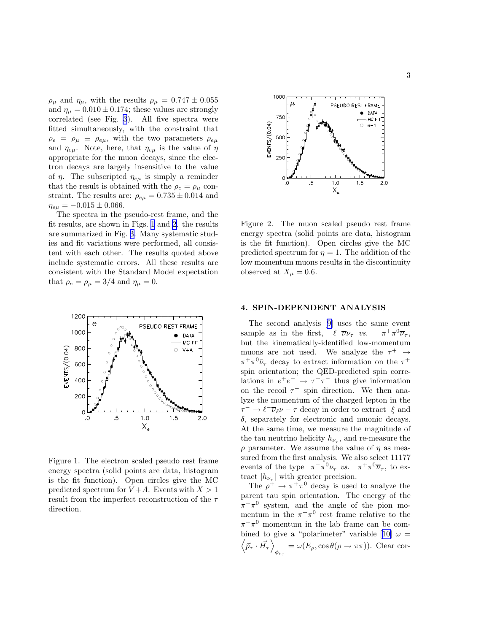$\rho_{\mu}$  and  $\eta_{\mu}$ , with the results  $\rho_{\mu} = 0.747 \pm 0.055$ and  $\eta_{\mu} = 0.010 \pm 0.174$ ; these values are strongly correlated (see Fig. [3](#page-3-0)). All five spectra were fitted simultaneously, with the constraint that  $\rho_e = \rho_\mu \equiv \rho_{e\mu}$ , with the two parameters  $\rho_{e\mu}$ and  $\eta_{e\mu}$ . Note, here, that  $\eta_{e\mu}$  is the value of  $\eta$ appropriate for the muon decays, since the electron decays are largely insensitive to the value of  $\eta$ . The subscripted  $\eta_{e\mu}$  is simply a reminder that the result is obtained with the  $\rho_e = \rho_\mu$  constraint. The results are:  $\rho_{e\mu} = 0.735 \pm 0.014$  and  $\eta_{e\mu} = -0.015 \pm 0.066.$ 

The spectra in the pseudo-rest frame, and the fit results, are shown in Figs. 1 and 2. the results are summarized in Fig. [3.](#page-3-0) Many systematic studies and fit variations were performed, all consistent with each other. The results quoted above include systematic errors. All these results are consistent with the Standard Model expectation that  $\rho_e = \rho_\mu = 3/4$  and  $\eta_\mu = 0$ .



Figure 1. The electron scaled pseudo rest frame energy spectra (solid points are data, histogram is the fit function). Open circles give the MC predicted spectrum for  $V+A$ . Events with  $X>1$ result from the imperfect reconstruction of the  $\tau$ direction.



 $1.5$ 

 $2.0$ 

Figure 2. The muon scaled pseudo rest frame energy spectra (solid points are data, histogram is the fit function). Open circles give the MC predicted spectrum for  $\eta = 1$ . The addition of the low momentum muons results in the discontinuity observed at  $X_{\mu} = 0.6$ .

1.0<br> $X_{\mu}$ 

#### 4. SPIN-DEPENDENT ANALYSIS

1000  $\mu$ 

**750** 

500

250

.o

Ŀ.

EVENTS/(0.04)

The second analysis[[9\]](#page-6-0) uses the same event sample as in the first,  $\ell^- \overline{\nu} \nu_{\tau}$  *vs.*  $\pi$  ${}^+\pi^0\overline{\nu}_\tau,$ but the kinematically-identified low-momentum muons are not used. We analyze the  $\tau^+ \rightarrow$  $\pi^+\pi^0\bar{\nu}_\tau$  decay to extract information on the  $\tau^+$ spin orientation; the QED-predicted spin correlations in  $e^+e^- \rightarrow \tau^+\tau^-$  thus give information on the recoil  $\tau^-$  spin direction. We then analyze the momentum of the charged lepton in the  $\tau^- \to \ell^- \overline{\nu}_{\ell} \nu - \tau$  decay in order to extract  $\xi$  and  $\delta$ , separately for electronic and muonic decays. At the same time, we measure the magnitude of the tau neutrino helicity  $h_{\nu_{\tau}}$ , and re-measure the  $\rho$  parameter. We assume the value of  $\eta$  as measured from the first analysis. We also select 11177 events of the type  $\pi^{-} \pi^{0} \nu_{\tau}$  vs.  $\pi^{+} \pi^{0} \overline{\nu}_{\tau}$ , to extract  $|h_{\nu_{\tau}}|$  with greater precision.

The  $\rho^+ \to \pi^+ \pi^0$  decay is used to analyze the parent tau spin orientation. The energy of the  $\pi^+\pi^0$  system, and the angle of the pion momentum in the  $\pi^+\pi^0$  rest frame relative to the  $\pi^+\pi^0$  momentum in the lab frame can be com-binedto give a "polarimeter" variable [[10\]](#page-6-0)  $\omega =$  $\left\langle \vec{p}_{\tau }\cdot\vec{H_{\tau }}\right\rangle$  $\psi_{\psi_{\tau}} = \omega(E_{\rho}, \cos \theta(\rho \to \pi \pi)).$  Clear cor-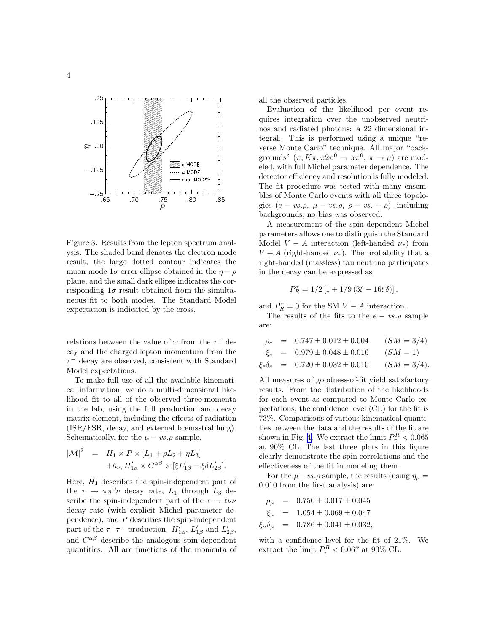<span id="page-3-0"></span>

Figure 3. Results from the lepton spectrum analysis. The shaded band denotes the electron mode result, the large dotted contour indicates the muon mode  $1\sigma$  error ellipse obtained in the  $\eta - \rho$ plane, and the small dark ellipse indicates the corresponding  $1\sigma$  result obtained from the simultaneous fit to both modes. The Standard Model expectation is indicated by the cross.

relations between the value of  $\omega$  from the  $\tau^+$  decay and the charged lepton momentum from the  $\tau^-$  decay are observed, consistent with Standard Model expectations.

To make full use of all the available kinematical information, we do a multi-dimensional likelihood fit to all of the observed three-momenta in the lab, using the full production and decay matrix element, including the effects of radiation (ISR/FSR, decay, and external bremsstrahlung). Schematically, for the  $\mu - vs. \rho$  sample,

$$
|\mathcal{M}|^2 = H_1 \times P \times [L_1 + \rho L_2 + \eta L_3]
$$
  
+ 
$$
h_{\nu_{\tau}} H'_{1\alpha} \times C^{\alpha\beta} \times [\xi L'_{1\beta} + \xi \delta L'_{2\beta}].
$$

Here,  $H_1$  describes the spin-independent part of the  $\tau \rightarrow \pi \pi^0 \nu$  decay rate,  $L_1$  through  $L_3$  describe the spin-independent part of the  $\tau \to \ell \nu \nu$ decay rate (with explicit Michel parameter dependence), and P describes the spin-independent part of the  $\tau^+\tau^-$  production.  $H'_{1\alpha}$ ,  $L'_{1\beta}$  and  $L'_{2\beta}$ , and  $C^{\alpha\beta}$  describe the analogous spin-dependent quantities. All are functions of the momenta of

all the observed particles.

Evaluation of the likelihood per event requires integration over the unobserved neutrinos and radiated photons: a 22 dimensional integral. This is performed using a unique "reverse Monte Carlo" technique. All major "backgrounds"  $(\pi, K\pi, \pi 2\pi^0 \to \pi \pi^0, \pi \to \mu)$  are modeled, with full Michel parameter dependence. The detector efficiency and resolution is fully modeled. The fit procedure was tested with many ensembles of Monte Carlo events with all three topologies  $(e - vs.\rho, \mu - vs.\rho, \rho - vs. - \rho)$ , including backgrounds; no bias was observed.

A measurement of the spin-dependent Michel parameters allows one to distinguish the Standard Model  $V - A$  interaction (left-handed  $\nu_{\tau}$ ) from  $V + A$  (right-handed  $\nu_{\tau}$ ). The probability that a right-handed (massless) tau neutrino participates in the decay can be expressed as

$$
P_R^\tau=1/2\left[1+1/9\left(3\xi-16\xi\delta\right)\right],
$$

and  $P_R^{\tau} = 0$  for the SM  $V - A$  interaction.

The results of the fits to the  $e - vs. \rho$  sample are:

$$
\rho_e = 0.747 \pm 0.012 \pm 0.004 \qquad (SM = 3/4)
$$

$$
\xi_e = 0.979 \pm 0.048 \pm 0.016 \qquad (SM = 1)
$$

 $\xi_e \delta_e = 0.720 \pm 0.032 \pm 0.010$  (SM = 3/4).

All measures of goodness-of-fit yield satisfactory results. From the distribution of the likelihoods for each event as compared to Monte Carlo expectations, the confidence level (CL) for the fit is 73%. Comparisons of various kinematical quantities between the data and the results of the fit are shown in Fig. [4.](#page-4-0) We extract the limit  $P_{\tau}^{R} < 0.065$ at 90% CL. The last three plots in this figure clearly demonstrate the spin correlations and the effectiveness of the fit in modeling them.

For the  $\mu - vs. \rho$  sample, the results (using  $\eta_{\mu} =$ 0.010 from the first analysis) are:

$$
\rho_{\mu} = 0.750 \pm 0.017 \pm 0.045
$$
  
\n
$$
\xi_{\mu} = 1.054 \pm 0.069 \pm 0.047
$$
  
\n
$$
\xi_{\mu} \delta_{\mu} = 0.786 \pm 0.041 \pm 0.032,
$$

with a confidence level for the fit of 21%. We extract the limit  $P_\tau^R < 0.067$  at 90% CL.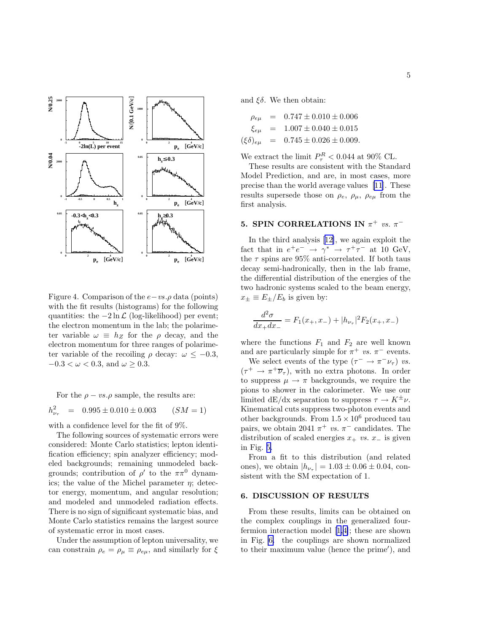<span id="page-4-0"></span>

Figure 4. Comparison of the  $e$  – vs.  $\rho$  data (points) with the fit results (histograms) for the following quantities: the  $-2 \ln \mathcal{L}$  (log-likelihood) per event; the electron momentum in the lab; the polarimeter variable  $\omega \equiv h_Z$  for the  $\rho$  decay, and the electron momentum for three ranges of polarimeter variable of the recoiling  $\rho$  decay:  $\omega \leq -0.3$ ,  $-0.3 < \omega < 0.3$ , and  $\omega \geq 0.3$ .

For the  $\rho - vs. \rho$  sample, the results are:

$$
h_{\nu_{\tau}}^2 = 0.995 \pm 0.010 \pm 0.003 \qquad (SM = 1)
$$

with a confidence level for the fit of 9%.

The following sources of systematic errors were considered: Monte Carlo statistics; lepton identification efficiency; spin analyzer efficiency; modeled backgrounds; remaining unmodeled backgrounds; contribution of  $\rho'$  to the  $\pi\pi^0$  dynamics; the value of the Michel parameter  $\eta$ ; detector energy, momentum, and angular resolution; and modeled and unmodeled radiation effects. There is no sign of significant systematic bias, and Monte Carlo statistics remains the largest source of systematic error in most cases.

Under the assumption of lepton universality, we can constrain  $\rho_e = \rho_\mu \equiv \rho_{e\mu}$ , and similarly for  $\xi$  and  $\xi \delta$ . We then obtain:

$$
\rho_{e\mu} = 0.747 \pm 0.010 \pm 0.006
$$
  
\n
$$
\xi_{e\mu} = 1.007 \pm 0.040 \pm 0.015
$$
  
\n
$$
(\xi \delta)_{e\mu} = 0.745 \pm 0.026 \pm 0.009.
$$

We extract the limit  $P_\tau^R < 0.044$  at 90% CL.

These results are consistent with the Standard Model Prediction, and are, in most cases, more precise than the world average values[[11](#page-6-0)]. These results supersede those on  $\rho_e$ ,  $\rho_\mu$ ,  $\rho_{e\mu}$  from the first analysis.

## 5. SPIN CORRELATIONS IN  $\pi^+$  vs.  $\pi^-$

In the third analysis[[12\]](#page-6-0), we again exploit the fact that in  $e^+e^- \rightarrow \gamma^* \rightarrow \tau^+\tau^-$  at 10 GeV, the  $\tau$  spins are 95% anti-correlated. If both taus decay semi-hadronically, then in the lab frame, the differential distribution of the energies of the two hadronic systems scaled to the beam energy,  $x_{\pm} \equiv E_{\pm}/E_b$  is given by:

$$
\frac{d^2\sigma}{dx_+dx_-} = F_1(x_+, x_-) + |h_{\nu_\tau}|^2 F_2(x_+, x_-)
$$

where the functions  $F_1$  and  $F_2$  are well known and are particularly simple for  $\pi^+$  vs.  $\pi^-$  events.

We select events of the type  $(\tau^- \to \pi^- \nu_\tau)$  vs.  $(\tau^+ \to \pi^+ \overline{\nu}_{\tau}),$  with no extra photons. In order to suppress  $\mu \to \pi$  backgrounds, we require the pions to shower in the calorimeter. We use our limited dE/dx separation to suppress  $\tau \to K^{\pm} \nu$ . Kinematical cuts suppress two-photon events and other backgrounds. From  $1.5 \times 10^6$  produced tau pairs, we obtain 2041  $\pi$ <sup>+</sup> *vs.*  $\pi$ <sup>-</sup> candidates. The distribution of scaled energies  $x_+$  vs.  $x_-$  is given in Fig. [5.](#page-5-0)

From a fit to this distribution (and related ones), we obtain  $|h_{\nu_{\tau}}| = 1.03 \pm 0.06 \pm 0.04$ , consistent with the SM expectation of 1.

#### 6. DISCUSSION OF RESULTS

From these results, limits can be obtained on the complex couplings in the generalized fourfermion interaction model[[1,4\]](#page-6-0); these are shown in Fig. [6.](#page-5-0) the couplings are shown normalized to their maximum value (hence the prime′ ), and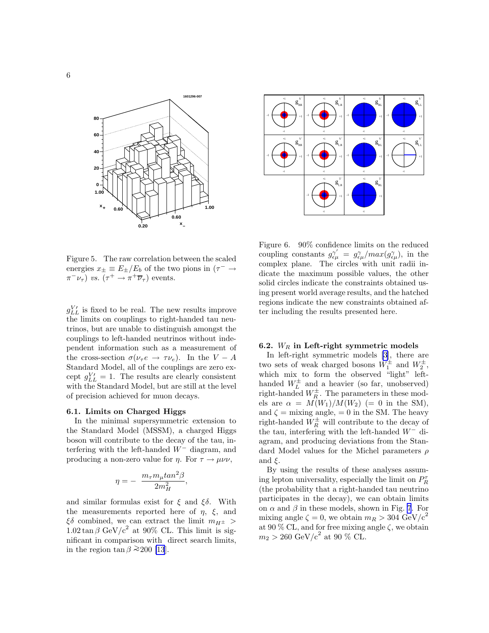<span id="page-5-0"></span>





Figure 5. The raw correlation between the scaled energies  $x_{\pm} \equiv E_{\pm}/E_b$  of the two pions in  $(\tau^- \to$  $\pi^- \nu_\tau$ ) vs.  $(\tau^+ \to \pi^+ \overline{\nu}_\tau)$  events.

 $g_{LL}^{V}$  is fixed to be real. The new results improve the limits on couplings to right-handed tau neutrinos, but are unable to distinguish amongst the couplings to left-handed neutrinos without independent information such as a measurement of the cross-section  $\sigma(\nu_\tau e \rightarrow \tau \nu_e)$ . In the  $V - A$ Standard Model, all of the couplings are zero except  $g_{LL}^{V} = 1$ . The results are clearly consistent with the Standard Model, but are still at the level of precision achieved for muon decays.

#### 6.1. Limits on Charged Higgs

In the minimal supersymmetric extension to the Standard Model (MSSM), a charged Higgs boson will contribute to the decay of the tau, interfering with the left-handed  $W^-$  diagram, and producing a non-zero value for  $\eta$ . For  $\tau \to \mu \nu \nu$ ,

$$
\eta=-\ \frac{m_{\tau}m_{\mu}tan^2\beta}{2m_H^2},
$$

and similar formulas exist for  $\xi$  and  $\xi \delta$ . With the measurements reported here of  $\eta$ ,  $\xi$ , and  $\xi \delta$  combined, we can extract the limit  $m_{H^{\pm}} >$  $1.02 \tan \beta$  GeV/c<sup>2</sup> at 90% CL. This limit is significant in comparison with direct search limits, in the region  $\tan \beta \ge 200$  [\[13](#page-6-0)].

Figure 6. 90% confidence limits on the reduced coupling constants  $g_{\epsilon\mu}^{\gamma'} = g_{\epsilon\mu}^{\gamma}/max(g_{\epsilon\mu}^{\gamma})$ , in the complex plane. The circles with unit radii indicate the maximum possible values, the other solid circles indicate the constraints obtained using present world average results, and the hatched regions indicate the new constraints obtained after including the results presented here.

#### 6.2.  $W_R$  in Left-right symmetric models

In left-right symmetric models [\[3](#page-6-0)], there are two sets of weak charged bosons  $W_1^{\pm}$  and  $W_2^{\pm}$ , which mix to form the observed "light" lefthanded  $W_L^{\pm}$  and a heavier (so far, unobserved) right-handed  $W_R^{\pm}$ . The parameters in these models are  $\alpha = M(W_1)/M(W_2)$  (= 0 in the SM), and  $\zeta$  = mixing angle, = 0 in the SM. The heavy right-handed  $W_R^{\pm}$  will contribute to the decay of the tau, interfering with the left-handed  $W^-$  diagram, and producing deviations from the Standard Model values for the Michel parameters  $\rho$ and  $\xi$ .

By using the results of these analyses assuming lepton universality, especially the limit on  $P^\tau_R$ (the probability that a right-handed tau neutrino participates in the decay), we can obtain limits on  $\alpha$  and  $\beta$  in these models, shown in Fig. [7](#page-6-0). For mixing angle  $\zeta = 0$ , we obtain  $m_R > 304$  GeV/c<sup>2</sup> at 90  $\%$  CL, and for free mixing angle  $\zeta$ , we obtain  $m_2 > 260 \text{ GeV/c}^2 \text{ at } 90 \text{ % CL.}$